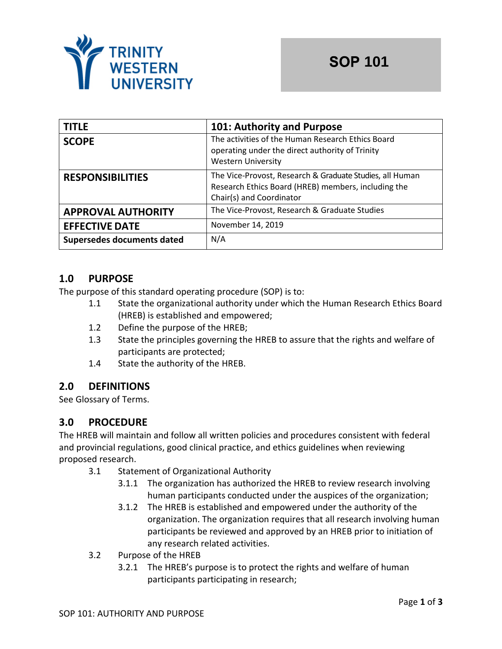

| <b>TITLE</b>               | 101: Authority and Purpose                                                                                                                  |
|----------------------------|---------------------------------------------------------------------------------------------------------------------------------------------|
| <b>SCOPE</b>               | The activities of the Human Research Ethics Board<br>operating under the direct authority of Trinity<br><b>Western University</b>           |
| <b>RESPONSIBILITIES</b>    | The Vice-Provost, Research & Graduate Studies, all Human<br>Research Ethics Board (HREB) members, including the<br>Chair(s) and Coordinator |
| <b>APPROVAL AUTHORITY</b>  | The Vice-Provost, Research & Graduate Studies                                                                                               |
| <b>EFFECTIVE DATE</b>      | November 14, 2019                                                                                                                           |
| Supersedes documents dated | N/A                                                                                                                                         |

# **1.0 PURPOSE**

The purpose of this standard operating procedure (SOP) is to:

- 1.1 State the organizational authority under which the Human Research Ethics Board (HREB) is established and empowered;
- 1.2 Define the purpose of the HREB;
- 1.3 State the principles governing the HREB to assure that the rights and welfare of participants are protected;
- 1.4 State the authority of the HREB.

## **2.0 DEFINITIONS**

See Glossary of Terms.

## **3.0 PROCEDURE**

The HREB will maintain and follow all written policies and procedures consistent with federal and provincial regulations, good clinical practice, and ethics guidelines when reviewing proposed research.

- 3.1 Statement of Organizational Authority
	- 3.1.1 The organization has authorized the HREB to review research involving human participants conducted under the auspices of the organization;
	- 3.1.2 The HREB is established and empowered under the authority of the organization. The organization requires that all research involving human participants be reviewed and approved by an HREB prior to initiation of any research related activities.
- 3.2 Purpose of the HREB
	- 3.2.1 The HREB's purpose is to protect the rights and welfare of human participants participating in research;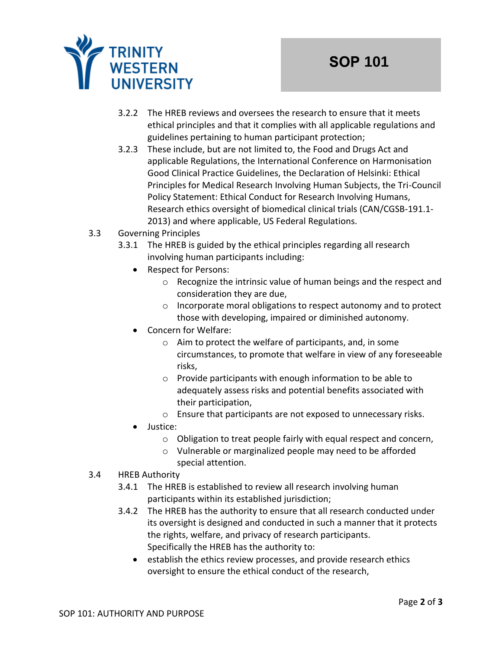

- 3.2.2 The HREB reviews and oversees the research to ensure that it meets ethical principles and that it complies with all applicable regulations and guidelines pertaining to human participant protection;
- 3.2.3 These include, but are not limited to, the Food and Drugs Act and applicable Regulations, the International Conference on Harmonisation Good Clinical Practice Guidelines, the Declaration of Helsinki: Ethical Principles for Medical Research Involving Human Subjects, the Tri-Council Policy Statement: Ethical Conduct for Research Involving Humans, Research ethics oversight of biomedical clinical trials (CAN/CGSB-191.1- 2013) and where applicable, US Federal Regulations.
- 3.3 Governing Principles
	- 3.3.1 The HREB is guided by the ethical principles regarding all research involving human participants including:
		- Respect for Persons:
			- o Recognize the intrinsic value of human beings and the respect and consideration they are due,
			- o Incorporate moral obligations to respect autonomy and to protect those with developing, impaired or diminished autonomy.
		- Concern for Welfare:
			- o Aim to protect the welfare of participants, and, in some circumstances, to promote that welfare in view of any foreseeable risks,
			- o Provide participants with enough information to be able to adequately assess risks and potential benefits associated with their participation,
			- o Ensure that participants are not exposed to unnecessary risks.
		- Justice:
			- o Obligation to treat people fairly with equal respect and concern,
			- o Vulnerable or marginalized people may need to be afforded special attention.
- 3.4 HREB Authority
	- 3.4.1 The HREB is established to review all research involving human participants within its established jurisdiction;
	- 3.4.2 The HREB has the authority to ensure that all research conducted under its oversight is designed and conducted in such a manner that it protects the rights, welfare, and privacy of research participants. Specifically the HREB has the authority to:
		- establish the ethics review processes, and provide research ethics oversight to ensure the ethical conduct of the research,